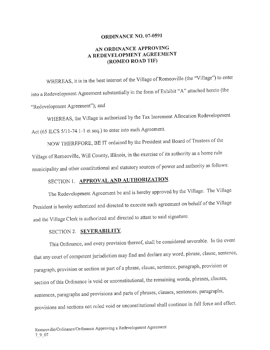#### ORDINANCE NO. 07-0591

#### AN ORDINANCE APPROVING A REDEVELOPMENT AGREEMENT ROMEO ROAD TIF)

WHEREAS, it is in the best interest of the Village of Romeoville (the "Village") to enter into a Redevelopment Agreement substantially in the form of Exhibit "A" attached hereto (the Redevelopment Agreement"); and

WHEREAS, the Village is authorized by the Tax Increment Allocation Redevelopment Act (65 ILCS 5/11-74.1-1 et seq.) to enter into such Agreement.

NOW THEREFORE, BE IT ordained by the President and Board of Trustees of the Village of Romeoville, Will County, Illinois, in the exercise of its authority as a home rule municipality and other constitutional and statutory sources of power and authority as follows:

## SECTION 1. APPROVAL AND AUTHORIZATION.

The Redevelopment Agreement be and is hereby approved by the Village. The Village President is hereby authorized and directed to execute such agreement on behalf of the Village and the Village Clerk is authorized and directed to attest to said signature.

#### SECTION 2. SEVERABILITY.

This Ordinance, and every provision thereof, shall be considered severable. In the event that any court of competent jurisdiction may find and declare any word, phrase, clause, sentence, paragraph, provision or section or part of <sup>a</sup> phrase, clause, sentence, paragraph, provision or section of this Ordinance is void or unconstitutional, the remaining words, phrases, clauses, sentences, paragraphs and provisions and parts of phrases, clauses, sentences, paragraphs, provisions and sections not ruled void or unconstitutional shall continue in full force and effect.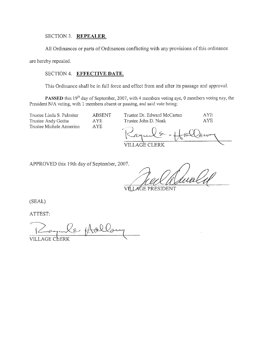#### SECTION 3. REPEALER.

All Ordinances or parts of Ordinances conflicting with any provisions of this ordinance

are hereby repealed.

#### SECTION 4. EFFECTIVE DATE.

This Ordinance shall be in full force and effect from and after its passage and approval.

PASSED this 19<sup>th</sup> day of September, 2007, with 4 members voting aye, 0 members voting nay, the President N/A voting, with 1 members absent or passing, and said vote being:

Trustee Linda S. Palmiter Trustee Dr. Edward McCartan **AYE ABSENT** Trustee Andy Goitia **AYE** Trustee John D. Noak **AYE** Trustee Michele Annerino **AYE** VILLAGÈ CLERK

APPROVED this 19th day of September, 2007.

VÍH *A*GE PRESIDENT

(SEAL)

ATTEST:

Le flollo **VILLAGE CLERK**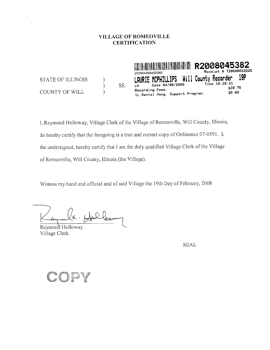#### VILLAGE OF ROMEOVILLE **CERTIFICATION**

T20080032826 Receipt # Will County Recorder 19P **STATE OF ILLINOIS CPHILLIPS**  $\mathcal{E}$ Time 10:30:31 Date 04/09/2008 SS.  $\mathcal{E}$ \$39.75 Recording Fees: COUNTY OF WILL  $\mathcal{E}$ \$0.00 IL Rental Hsng. Support Program:

I, Raymond Holloway, Village Clerk of the Village of Romeoville, Will County, Illinois, do hereby certify that the foregoing is a true and correct copy of Ordinance 07-0591. I, the undersigned, hereby certify that I am the duly qualified Village Clerk of the Village of Romeoville, Will County, Illinois (the Village).

Witness my hand and official seal of said Village the 19th Day of February, 2008

Dlau

Raymond Holloway Village Clerk

 $\sim$   $^{-1}$ 

 $\sim$   $^{-1}$ 

**SEAL** 

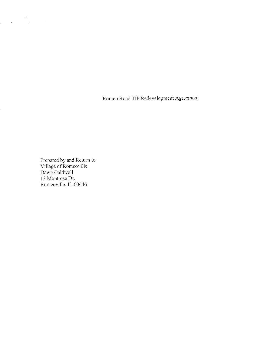Romeo Road TIF Redevelopment Agreement

Prepared by and Return to Village of Romeoville Dawn Caldwell 13 Montrose Dr. Romeoville, IL 60446

 $\label{eq:2.1} \begin{split} \mathcal{L}_{\text{max}}(\mathbf{r}) &= \mathcal{L}_{\text{max}}(\mathbf{r}) \mathcal{L}_{\text{max}}(\mathbf{r}) \\ &= \mathcal{L}_{\text{max}}(\mathbf{r}) + \mathcal{L}_{\text{max}}(\mathbf{r}) \mathcal{L}_{\text{max}}(\mathbf{r}) \mathcal{L}_{\text{max}}(\mathbf{r}) \end{split}$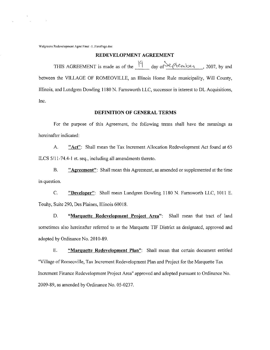Walgreens Redevelopment Agmt Final -1. FirstPage.doc

#### REDEVELOPMENT AGREEMENT

THIS AGREEMENT is made as of the  $\frac{19}{4}$  day of September , 2007, by and between the VILLAGE OF ROMEOVILLE, an Illinois Home Rule municipality, Will County, Illinois, and Lundgren Dowling 1180 N. Farnsworth LLC, successor in interest to DL Acquisitions, Inc.

#### DEFINITION OF GENERAL TERMS

For the purpose of this Agreement, the following terms shall have the meanings as hereinafter indicated:

A. "Act": Shall mean the Tax Increment Allocation Redevelopment Act found at 65 ILCS 5/11-74.4-1 et. seq., including all amendments thereto.

B. "**Agreement**": Shall mean this Agreement, as amended or supplemented at the time in question.

C. " Developer": Shall mean Lundgren Dowling <sup>1180</sup> N. Famsworth LLC, <sup>1011</sup> E. Touhy, Suite 290, Des Plaines, Illinois 60018.

D. "Marquette Redevelopment Project Area": Shall mean that tract of land sometimes also hereinafter referred to as the Marquette TIF District as designated, approved and adopted by Ordinance No. 2010-89.

E. " Marquette Redevelooment Plan": Shall mean that certain document entitled "Village of Romeoville, Tax Increment Redevelopment Plan and Project for the Marquette Tax Increment Finance Redevelopment Project Area" approved and adopted pursuant to Ordinance No. 2009-89, as amended by Ordinance No. 05-0237.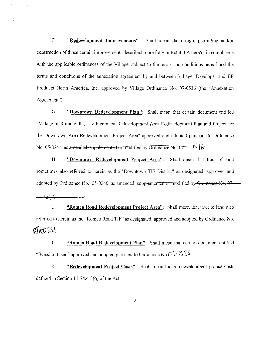F. " Redevelopment Improvements": Shall mean the design, permitting and/or construction of those certain improvements described more fully in Exhibit A hereto, in compliance with the applicable ordinances of the Village, subject to the terms and conditions hereof and the terms and conditions of the annexation agreement by and between Village, Developer and 131' Products North America, Inc. approved by Village Ordinance No. 07-0536 (the "Annexation Agreement")

G. "Downtown Redevelopment Plan": Shall mean that certain document entitled Village of Romeoville, Tax Increment Redevelopment Area Redevelopment Plan and Project for the Downtown Area Redevelopment Project Area" approved and adopted pursuant to Ordinancc No. 05-0241, as amended, supplemented or modified by Ordinance No. 07- $\sim$  N  $\mu$ .

H. "Downtown Redevelopment Project Area": Shall mean that tract of land sometimes also referred to herein as the "Downtown TIF District" as designated, approved and adopted by Ordinance No. 05-0240, as amended, supplemented or modified by Ordinance No. 07-

 $A + A$ 

1. "Romeo Road Redevelopment Project Area": Shall mean that tract of land also referred to herein as the "Romeo Road TIF" as designated, approved and adopted by Ordinance No.  $01*058$ 

J. " Romeo Road Redevelopment Plan": Shall mean that certain document entitled "[Need to Insert] approved and adopted pursuant to Ordinance No. $O7\cdot0.0\%$ 

K. "**Redevelopment Project Costs":** Shall mean those redevelopment project costs defined in Section  $11-74.4-3(a)$  of the Act.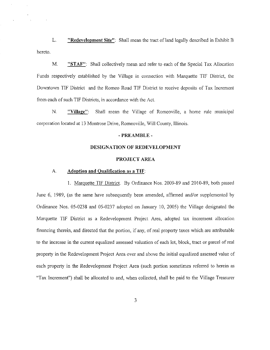L. "Redevelopment Site": Shall mean the tract of land legally described in Exhibit B hereto.

M. "STAF": Shall collectively mean and refer to each of the Special Tax Allocation Funds respectively established by the Village in connection with Marquette TIF District, the Downtown TIF District and the Romeo Road TIF District to receive deposits of Tax Increment from each of such TIF Districts, in accordance with the Act.

N. " Village": Shall mean the Village of Romeoville, <sup>a</sup> home rule municipal corporation located at <sup>13</sup> Montrose Drive, Romeoville, Will County, Illinois.

#### $-$ PREAMBLE  $-$

#### DESIGNATION OF REDEVELOPMENT

#### PROJECT AREA

#### A. Adoption and Qualification as <sup>a</sup> TIF:

1. Marquette TIF District. By Ordinance Nos. 2009-89 and 2010-89, both passed June 6, 1989, (as the same have subsequently been amended, affirmed and/or supplemented by Ordinance Nos. 05-0238 and 05-0237 adopted on January 10, 2005) thc Village designated the Marquette TIF District as a Redevelopment Project Area, adopted tax increment allocation financing therein, and direeted that the portion, if any, of real property taxes which are attributable to the increase in the current equalized assessed valuation of each lot, block, traet or parcel ofreal property in the Redevelopment Project Area over and above the initial equalized assessed value of each property in the Redevelopment Project Area ( such portion sometimes referred to herein as Tax Increment") shall be allocated to and, when collected, shall be paid to the Village Treasurer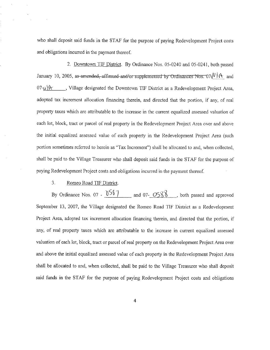who shall deposit said funds in the STAF for the purpose of paying Redevelopment Project costs and obligations incurrcd in the payment thereof.

2. Downtown TIF District. By Ordinance Nos. 05-0240 and 05-0241, both passed January 10, 2005, as-amended, affirmed-and/or supplemented by Ordinances Nos. 07 $\mathcal{N}$  | A. and  $07\frac{\sqrt{\frac{1}{2}}}{\sqrt{\frac{1}{2}}}}$ , Village designated the Downtown TIF District as a Redevelopment Project Area, adopted tax increment allocation financing therein, and directed that the portion, if any, of real property taxes which are attributable to the increase in the current equalized assessed valuation of each lot, block, tract or parcel of real property in the Redevelopment Project Area over and above the initial equalized assessed value of each property in the Redevelopment Project Area (such portion sometimes referred to herein as "Tax Increment") shall be allocated to and, when collected, shall be paid to the Village Treasurer who shall deposit said funds in the STAF for the purpose of paying Redevelopment Project costs and obligations incurred in the payment thereof.

#### 3. Romeo Road TIF District.

By Ordinance Nos. 07 -  $\frac{0.0587}{1}$  and 07- $\frac{0.0588}{1}$ , both passed and approved September 13, 2007, the Village designated the Romeo Road TIF District as a Redevelopment Project Area, adopted tax increment allocation financing therein, and directed that the portion, if any, of real property taxes which are attributable to the increase in current equalized assessed valuation of each lot, block, tract or parcel of real property on the Redevelopment Project Area over and above the initial equalized assessed value of each property in the Redevelopment Project Area shall be allocated to and, when collected, shall be paid to the Village Treasurer who shall deposit said funds in the STAF for the purpose of paying Redevelopment Project costs and obligations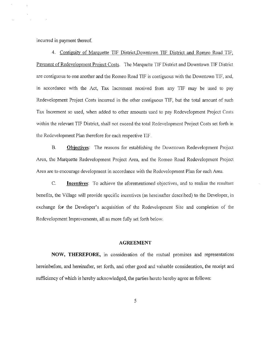incurred in payment thereof.

4. Contiguity of Marquette TIF District,Downtown TIF District and Romeo Road TIF; Payment of Redevelopment Project Costs. The Marquette TIF District and Downtown TIF District are contiguous to one another and the Romeo Road TIF is contiguous with the Downtown TIF, and, in accordance with the Act, Tax Increment received from any TIF may be used to pay Redevelopment Project Costs incurred in the other contiguous TIF, but the total amount of such Tax Increment so used, when added to other amounts used to pay Redevelopment Project Costs within the relevant T1F District, shall not exceed the total Redevelopment Project Costs set forth in the Redevelopment Plan therefore for each respective T1F.

B. Obiectives: The reasons for establishing the Downtown Redevelopment Project Area, the Marquette Redevelopment Project Area, and the Romeo Road Redevelopment Project Area arc to encourage development in aceordanee with the Redevelopment Plan for each Area.

C. Incentives: To achieve the aforementioned objectives, and to realize the resultant benefits, the Village will provide specific incentives (as hereinafter described) to the Developer, in exchange for the Developer's acquisition of the Redevelopment Site and completion of the Redevelopment Improvements, all as more fully set forth below.

#### AGREEMENT

NOW, THEREFORE, in consideration of the mutual promises and representations hereinbefore, and hereinafter, set forth, and other good and valuable consideration, the receipt and sufficiency of which is hereby acknowledged, the parties hereto hereby agree as follows: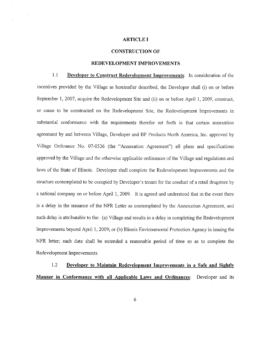#### **ARTICLE I**

#### **CONSTRUCTION OF**

#### REDEVELOPMENT IMPROVEMENTS

 $1.1$ Developer to Construct Redevelopment Improvements: In consideration of the incentives provided by the Village as hereinafter described, the Developer shall (i) on or before September 1, 2007, acquire the Redevelopment Site and (ii) on or before April 1, 2009, construct, or cause to be constructed on the Redevelopment Site, the Redevelopment Improvements in substantial conformance with the requirements therefor set forth in that certain annexation agreement by and between Village, Developer and BP Products North America, Inc. approved by Village Ordinance No. 07-0536 (the "Annexation Agreement") all plans and specifications approved by the Village and the otherwise applicable ordinances of the Village and regulations and laws of the State of Illinois. Developer shall complete the Redevelopment Improvements and the structure contemplated to be occupied by Developer's tenant for the conduct of a retail drugstore by a national company on or before April 1, 2009. It is agreed and understood that in the event there is a delay in the issuance of the NFR Letter as contemplated by the Annexation Agreement, and such delay is attributable to the: (a) Village and results in a delay in completing the Redevelopment Improvements beyond April 1, 2009; or (b) Illinois Environmental Protection Agency in issuing the NFR letter; such date shall be extended a reasonable period of time so as to complete the Redevelopment Improvements.

1.2 Developer to Maintain Redevelopment Improvements in a Safe and Sightly Manner in Conformance with all Applicable Laws and Ordinances: Developer and its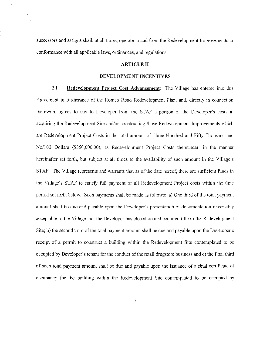successors and assigns shall, at all times, operate in and from the Redevelopment Improvements in conformance with all applicable laws, ordinances, and regulations.

#### **ARTICLE II**

#### DEVELOPMENT INCENTIVES

2.1 Redevelopment Project Cost Advancement: The Village has entered into this Agreement in furtherance of the Romeo Road Redevelopment Plan, and, directly in connection therewith, agrees to pay to Developer from the STAF a portion of the Developer's costs in acquiring the Redevelopment Site and/or constructing those Redevelopment Improvements which are Redevelopment Project Costs in the total amount of Three Hundred and Fifty Thousand and No/100 Dollars (\$350,000.00), as Redevelopment Project Costs thereunder, in the manner hereinafter set forth, but subject at all times to the availability of such amount in the Village's STAF. The Village represents and warrants that as of the date hereof, there are sufficient funds in the Village's STAF to satisfy full payment of all Redevelopment Project costs within the time period set forth below. Such payments shall be made as follows: a) One third of the total payment amount shall be due and payable upon the Developer's presentation of documentation reasonably acceptable to the Village that the Developer has closed on and acquired title to the Redevelopment Site; b) the second third of the total payment amount shall be due and payable upon the Developer's receipt of a permit to construct a building within the Redevelopment Site contemplated to be occupied by Developer's tenant for the conduct of the retail drugstore business and c) the final third of such total payment amount shall be due and payable upon the issuance of a final certificate of occupancy for the building within the Redevelopment Site contemplated to be occupied by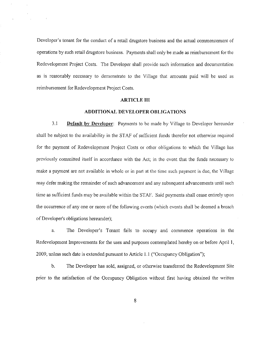Developer's tenant for the conduct of a retail drugstore business and the actual commencement of operations by such retail drugstore business. Payments shall only be made as reimbursement for the Redevelopment Project Costs. The Developer shall provide such information and documentation as is reasonably necessary to demonstrate to the Village that amounts paid will be used as reimbursement for Redevelopment Project Costs.

#### **ARTICLE III**

#### **ADDITIONAL DEVELOPER OBLIGATIONS**

 $3.1$ **Default by Developer:** Payments to be made by Village to Developer hereunder shall be subject to the availability in the STAF of sufficient funds therefor not otherwise required for the payment of Redevelopment Project Costs or other obligations to which the Village has previously committed itself in accordance with the Act; in the event that the funds necessary to make a payment are not available in whole or in part at the time such payment is due, the Village may defer making the remainder of such advancement and any subsequent advancements until such time as sufficient funds may be available within the STAF. Said payments shall cease entirely upon the occurrence of any one or more of the following events (which events shall be deemed a breach of Developer's obligations hereunder);

The Developer's Tenant fails to occupy and commence operations in the a. Redevelopment Improvements for the uses and purposes contemplated hereby on or before April 1, 2009, unless such date is extended pursuant to Article 1.1 ("Occupancy Obligation");

 $<sub>b</sub>$ .</sub> The Developer has sold, assigned, or otherwise transferred the Redevelopment Site prior to the satisfaction of the Occupancy Obligation without first having obtained the written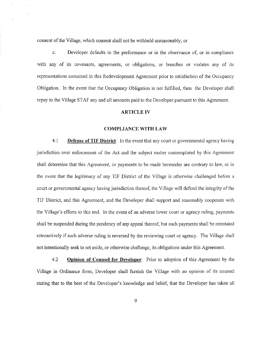consent of the Village, which consent shall not be withheld unreasonably; or

c. Developer defaults in the performance or in the observance of, or in compliance with any of its covenants, agreements, or obligations, or breaches or violates any of its representations contained in this Redevelopment Agreement prior to satisfaction of the Occupancy Obligation. In the event that the Occupancy Obligation is not fulfillcd, then the Developer shall repay to the Village STAF any and all amounts paid to the Developer pursuant to this Agreement.

#### ARTICLE IV

#### COMPLIANCE WITH LAW

4.1 **Defense of TIF District:** In the event that any court or governmental agency having jurisdiction over enforcement of' the Act and the subject matter contemplated by this Agreement shall determine that this Agreement, or payments to be made hereunder are contrary to law, or in the event that the legitimacy of any TIF District of the Village is otherwise challenged before a court or governmental agency having jurisdiction thereof, the Village will defend the integrity of the TIF District, and this Agreement, and the Developer shall support and reasonably cooperate with the Village's efforts to this end. In the event of an adverse lower court or agency ruling, payments shall be suspended during the pendency of any appeal thereof, but such payments shall be reinstated retroactively if such adverse ruling is reversed by the reviewing court or agency. The Village shall not intentionally seek to set aside, or otherwise challcngc, its obligations under this Agreement.

4.2 Opinion of Counsel for Developer: Prior to adoption of this Agreement by the Village in Ordinance form, Developer shall furnish the Village with an opinion of its counsel stating that to the best of the Developer's knowledge and belief, that the Developer has taken all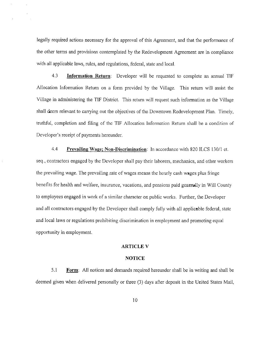legally required actions necessary for the approval of this Agreement, and that the performance of the other terms and provisions contemplated by the Redevelopment Agreement are in compliance with all applicable laws, rules, and regulations, federal, state and local.

4.3 Information Rcturn: Developer will be requested to complete an annual TlF Allocation Information Return on <sup>a</sup> form provided by the Village. This return will assist the Village in administering the TIF District. This return will request such information as the Village shall deem relevant to carrying out the objectives of the Downtown Redevelopment Plan. Timely, truthful, completion and filing of the TIF Allocation Information Return shall be <sup>a</sup> condition of Developer's receipt of payments hereunder.

4.4 Prevailing Wage; Non-Discrimination: In accordance with 820 ILCS 130/1 et. seq., contractors engaged by the Developer shall pay their laborers, mechanics, and other workers the prevailing wage. The prevailing rate of wages means the hourly cash wages plus fringe benefits for health and welfare, insurance, vacations, and pensions paid generally in Will County to employees engaged in work of <sup>a</sup> similar character on public works. Further, the Developer and all contractors engaged by the Developer shall comply fully with all applicable federal, state and local laws or regulations prohibiting discrimination in employment and promoting equal opportunity in employment.

#### ARTICLE V

#### NOTICE

 $5.1$  Form: All notices and demands required hereunder shall be in writing and shall be deemed given when delivered personally or three (3) days after deposit in the United States Mail,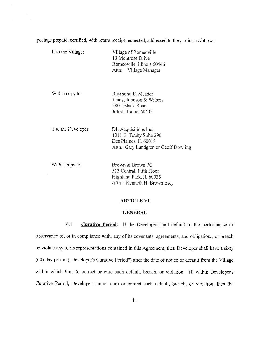postage prepaid, certified, with return receipt requested, addressed to the parties as follows:

 $\sim$   $\sim$ 

| If to the Village:   | Village of Romeoville<br>13 Montrose Drive<br>Romeoville, Illinois 60446<br>Attn: Village Manager                 |
|----------------------|-------------------------------------------------------------------------------------------------------------------|
| With a copy to:      | Raymond E. Meader<br>Tracy, Johnson & Wilson<br>2801 Black Road<br>Joliet, Illinois 60435                         |
| If to the Developer: | DL Acquisitions Inc.<br>1011 E. Touhy Suite 290<br>Des Plaines, IL 60018<br>Attn.: Gary Lundgren or Geoff Dowling |
| With a copy to:      | Brown & Brown PC<br>513 Central, Fifth Floor<br>Highland Park, IL 60035                                           |

#### **ARTICLE VI**

Attn.: Kenneth H. Brown Esq.

#### **GENERAL**

6.1 **Curative Period:** If the Developer shall default in the performance or observance of, or in compliance with, any of its covenants, agreements, and obligations, or breach or violate any of its representations contained in this Agreement, then Developer shall have a sixty (60) day period ("Developer's Curative Period") after the date of notice of default from the Village within which time to correct or cure such default, breach, or violation. If, within Developer's Curative Period, Developer cannot cure or correct such default, breach, or violation, then the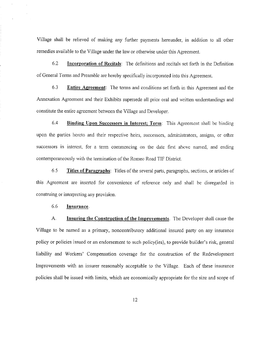Village shall be relieved of making any further payments hereunder, in addition to all other remedies available to the Village under the law or otherwise under this Agreement.

6.2 Incorporation of Recitals: The definitions and recitals set forth in the Definition of General Terms and Preamble are hereby specifically incorporated into this Agreement.

6.3 Entire Agreement: The terms and conditions set forth in this Agreement and the Annexation Agreement and their Exhibits supersede all prior oral and written understandings and constitute the entire agreement between the Village and Developer.

6.4 Binding Upon Successors in Interest; Term: This Agreement shall be binding upon the parties hereto and their respective heirs, successors, administrators, assigns, or other successors in interest, for a term commencing on the date first above named, and ending contemporaneously with the termination of the Romeo Road TIF District.

6.5 Titles of Paragraphs: Titles of the several parts, paragraphs, sections, or articles of this Agreement are inserted for convenience of reference only and shall be disregarded in construing or interpreting any provision.

#### 6.6 Insurance.

A. **Insuring the Construction of the Improvements**. The Developer shall cause the Village to be named as <sup>a</sup> primary, noncontributory additional insured party on any insurance policy or policies issued or an endorsement to such policy(ies), to provide builder's risk, general liability and Workers' Compensation coverage for the construction of the Redevelopment Improvements with an insurer reasonably acceptable to the Village. Each of these insurance policies shall be issued with limits, which are economically appropriate for the size and scope of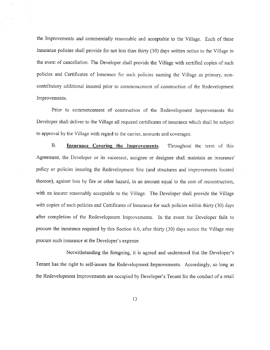the Improvements and commercially reasonable and acceptable to the Village. Each of these insurance policies shall provide for not less than thirty (30) days written notice to the Village in the event of cancellation. The Developer shall provide the Village with certified copies of such policies and Certificates of Insurance for such policies naming the Village as primary, noncontributory additional insured prior to commencement of construction of the Redevelopment Improvements.

Prior to commencement of construction of the Redevelopment Improvements the Developer shall deliver to the Village all required certificates of insurance which shall be subject to approval by the Village with regard to the carrier, amounts and coverages.

**B.** Insurance Covering the Improvements. Throughout the term of this Agreement, the Developer or its successor, assignee or designee shall maintain an insurance' policy or policies insuring the Redevelopment Site (and structures and improvements located thereon), against loss by fire or other hazard, in an amount equal to the cost of reconstruction. with an insurer reasonably acceptable to the Village. The Developer shall provide the Village with copies of such policies and Certificates of Insurance for such policies within thirty (30) days after completion of the Redevelopment Improvements. In the event the Developer fails to procure the insurance required by this Section 6.6, after thirty (30) days notice the Village may procure such insurance at the Developer's expense.

Notwithstanding the foregoing, it is agreed and understood that the Developer's Tenant has the right to self-insure the Redevelopment Improvements. Accordingly, so long as the Redevelopment Improvements are occupied by Developer's Tenant for the conduct of a retail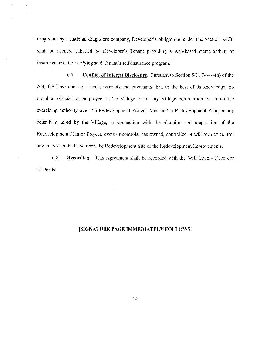drug store by a national drug store company, Developer's obligations under this Section 6.6.B. shall be deemed satisfied by Developer's Tenant providing a web-based memorandum of insurance or letter verifying said Tenant's self-insurance program.

6.7 **Conflict of Interest Disclosure.** Pursuant to Section  $5/11$  74-4-4(n) of the Act, the Developer represents, warrants and covenants that, to the best of its knowledge, no member, official, or employee of the Village or of any Village commission or committee exercising authority over the Redevelopment Project Area or the Redevelopment Plan, or any consultant hired by the Village, in connection with the planning and preparation of the Redevelopment Plan or Project, owns or controls, has owned, controlled or will own or control any interest in the Developer, the Redevelopment Site or the Redevelopment Improvements.

 $6, 8$ **Recording.** This Agreement shall be recorded with the Will County Recorder of Deeds.

÷

#### [SIGNATURE PAGE IMMEDIATELY FOLLOWS]

 $14$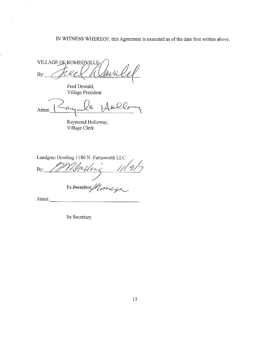### IN WITNESS WHEREOF, this Agreement is executed as of the date first written above.

VILLAGE OF ROMEOVILLE By:

Fred Dewald, Village President

 $\mathcal{A}^{\mathcal{A}}$ 

 $\bar{z}$  $\overline{\phantom{a}}$ 

 $\mathcal{L}_{\mathcal{A}}$ Attest:

Raymond Holloway, Village Clerk

Lundgren Dowling 1180 N. Farnsworth LLC

 $\frac{1}{1}$  $\ln\zeta$ By:

Its President / Correige

Attest:

Its Secretary

 $\sim$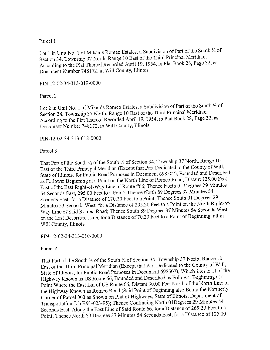#### Parcel 1

 $\sim$ 

Lot 1 in Unit No. 1 of Mikan's Romeo Estates, a Subdivision of Part of the South 1/2 of Section 34, Township 37 North, Range 10 East of the Third Principal Meridian, According to the Plat Thereof Recorded April 19, 1954, in Plat Book 28, Page 32, as Document Number 748172, in Will County, Illinois

#### PIN-12-02-34-313-019-0000

Parcel 2

Lot 2 in Unit No. 1 of Mikan's Romeo Estates, a Subdivision of Part of the South 1/2 of Section 34, Township 37 North, Range 10 East of the Third Principal Meridian, According to the Plat Thereof Recorded April 19, 1954, in Plat Book 28, Page 32, as Document Number 748172, in Will County, Illinois

PIN-12-02-34-313-018-0000

Parcel 3

That Part of the South 1/2 of the South 1/2 of Section 34, Township 37 North, Range 10 East of the Third Principal Meridian (Except that Part Dedicated to the County of Will, State of Illinois, for Public Road Purposes in Document 698507), Bounded and Described as Follows: Beginning at a Point on the North Line of Romeo Road, Distant 125.00 Feet East of the East Right-of-Way Line of Route #66; Thence North 01 Degrees 29 Minutes 54 Seconds East, 295.00 Feet to a Point; Thence North 89 Degrees 37 Minutes 54 Seconds East, for a Distance of 170.20 Feet to a Point; Thence South 01 Degrees 29 Minutes 53 Seconds West, for a Distance of 295.20 Feet to a Point on the North Right-of-Way Line of Said Romeo Road; Thence South 89 Degrees 37 Minutes 54 Seconds West, on the Last Described Line, for a Distance of 70.20 Feet to a Point of Beginning, all in Will County, Illinois

PIN-12-02-34-313-010-0000

Parcel 4

That Part of the South 1/2 of the South 1/2 of Section 34, Township 37 North, Range 10 East of the Third Principal Meridian (Except that Part Dedicated to the County of Will, State of Illinois, for Public Road Purposes in Document 698507), Which Lies East of the Highway Known as US Route 66, Bounded and Described as Follows: Beginning at a Point Where the East Lin of US Route 66, Distant 30.00 Feet North of the North Line of the Highway Known as Romeo Road (Said Point of Beginning also Being the Northerly Corner of Parcel 003 as Shown on Plat of Highways, State of Illinois, Department of Transportation Job R91-023-95); Thence Continuing North 01Degrees 29 Minutes 54 Seconds East, Along the East Line of Said Route 66, for a Distance of 265.20 Feet to a Point; Thence North 89 Degrees 37 Minutes 54 Seconds East, for a Distance of 125.00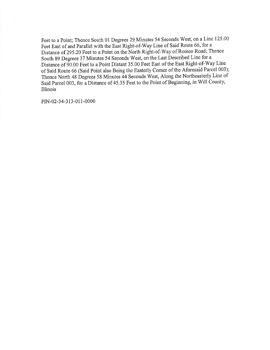Feet to a Point; Thence South 01 Degrees 29 Minutes 54 Seconds West, on a Line 125.00 Feet East of and Parallel with the East Right-of-Way Line of Said Route 66, for a Distance of 295.20 Feet to a Point on the North Right-of-Way of Romeo Road; Thence South 89 Degrees 37 Minutes 54 Seconds West, on the Last Described Line for a Distance of 90.00 Feet to a Point Distant 35.00 Feet East of the East Right-of-Way Line of Said Route 66 (Said Point also Being the Easterly Corner of the Aforesaid Parcel 003); Thence North 48 Degrees 58 Minutes 44 Seconds West, Along the Northeasterly Line of Said Parcel 003, for a Distance of 45.35 Feet to the Point of Beginning, in Will County, Illinois

PIN-02-34-313-011-0000